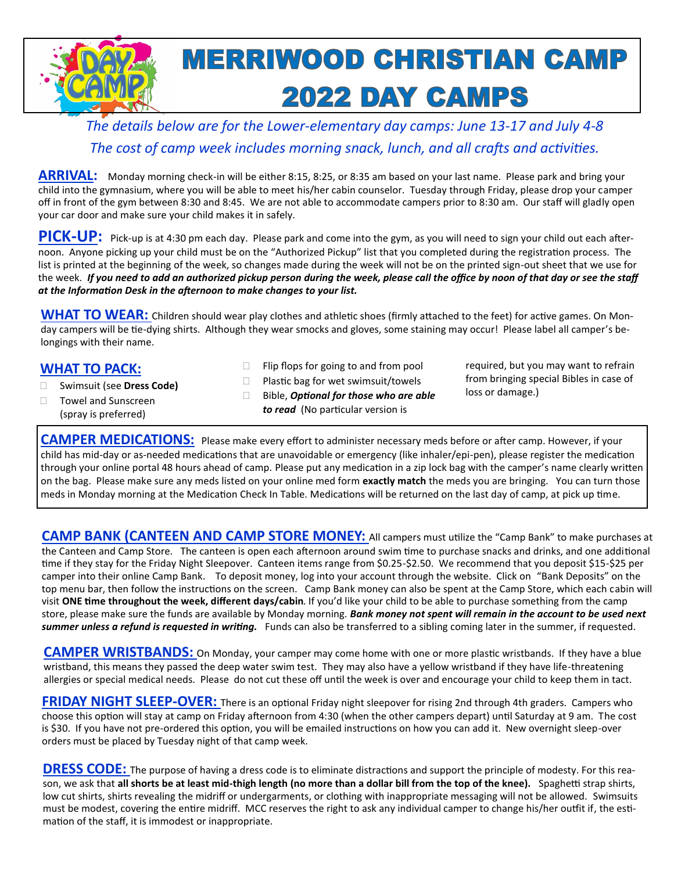

*The details below are for the Lower-elementary day camps: June 13-17 and July 4-8 The cost of camp week includes morning snack, lunch, and all crafts and activities.*

ARRIVAL: Monday morning check-in will be either 8:15, 8:25, or 8:35 am based on your last name. Please park and bring your child into the gymnasium, where you will be able to meet his/her cabin counselor. Tuesday through Friday, please drop your camper off in front of the gym between 8:30 and 8:45. We are not able to accommodate campers prior to 8:30 am. Our staff will gladly open your car door and make sure your child makes it in safely.

**PICK-UP:** Pick-up is at 4:30 pm each day. Please park and come into the gym, as you will need to sign your child out each afternoon. Anyone picking up your child must be on the "Authorized Pickup" list that you completed during the registration process. The list is printed at the beginning of the week, so changes made during the week will not be on the printed sign-out sheet that we use for the week. *If you need to add an authorized pickup person during the week, please call the office by noon of that day or see the staff at the Information Desk in the afternoon to make changes to your list.*

**WHAT TO WEAR:** Children should wear play clothes and athletic shoes (firmly attached to the feet) for active games. On Monday campers will be tie-dying shirts. Although they wear smocks and gloves, some staining may occur! Please label all camper's belongings with their name.

# **WHAT TO PACK:**

- Swimsuit (see **Dress Code)**
- $\Box$  Flip flops for going to and from pool
- $\Box$  Plastic bag for wet swimsuit/towels
- Bible, *Optional for those who are able to read* (No particular version is

required, but you may want to refrain from bringing special Bibles in case of loss or damage.)

□ Towel and Sunscreen (spray is preferred)

**CAMPER MEDICATIONS:** Please make every effort to administer necessary meds before or after camp. However, if your child has mid-day or as-needed medications that are unavoidable or emergency (like inhaler/epi-pen), please register the medication through your online portal 48 hours ahead of camp. Please put any medication in a zip lock bag with the camper's name clearly written on the bag. Please make sure any meds listed on your online med form **exactly match** the meds you are bringing. You can turn those meds in Monday morning at the Medication Check In Table. Medications will be returned on the last day of camp, at pick up time.

**CAMP BANK (CANTEEN AND CAMP STORE MONEY:** All campers must utilize the "Camp Bank" to make purchases at the Canteen and Camp Store. The canteen is open each afternoon around swim time to purchase snacks and drinks, and one additional time if they stay for the Friday Night Sleepover. Canteen items range from \$0.25-\$2.50. We recommend that you deposit \$15-\$25 per camper into their online Camp Bank. To deposit money, log into your account through the website. Click on "Bank Deposits" on the top menu bar, then follow the instructions on the screen. Camp Bank money can also be spent at the Camp Store, which each cabin will visit **ONE time throughout the week, different days/cabin**. If you'd like your child to be able to purchase something from the camp store, please make sure the funds are available by Monday morning. *Bank money not spent will remain in the account to be used next summer unless a refund is requested in writing.* Funds can also be transferred to a sibling coming later in the summer, if requested.

**CAMPER WRISTBANDS:** On Monday, your camper may come home with one or more plastic wristbands. If they have a blue wristband, this means they passed the deep water swim test. They may also have a yellow wristband if they have life-threatening allergies or special medical needs. Please do not cut these off until the week is over and encourage your child to keep them in tact.

**FRIDAY NIGHT SLEEP-OVER:** There is an optional Friday night sleepover for rising 2nd through 4th graders. Campers who choose this option will stay at camp on Friday afternoon from 4:30 (when the other campers depart) until Saturday at 9 am. The cost is \$30. If you have not pre-ordered this option, you will be emailed instructions on how you can add it. New overnight sleep-over orders must be placed by Tuesday night of that camp week.

**DRESS CODE:** The purpose of having a dress code is to eliminate distractions and support the principle of modesty. For this reason, we ask that **all shorts be at least mid-thigh length (no more than a dollar bill from the top of the knee).** Spaghetti strap shirts, low cut shirts, shirts revealing the midriff or undergarments, or clothing with inappropriate messaging will not be allowed. Swimsuits must be modest, covering the entire midriff. MCC reserves the right to ask any individual camper to change his/her outfit if, the estimation of the staff, it is immodest or inappropriate.